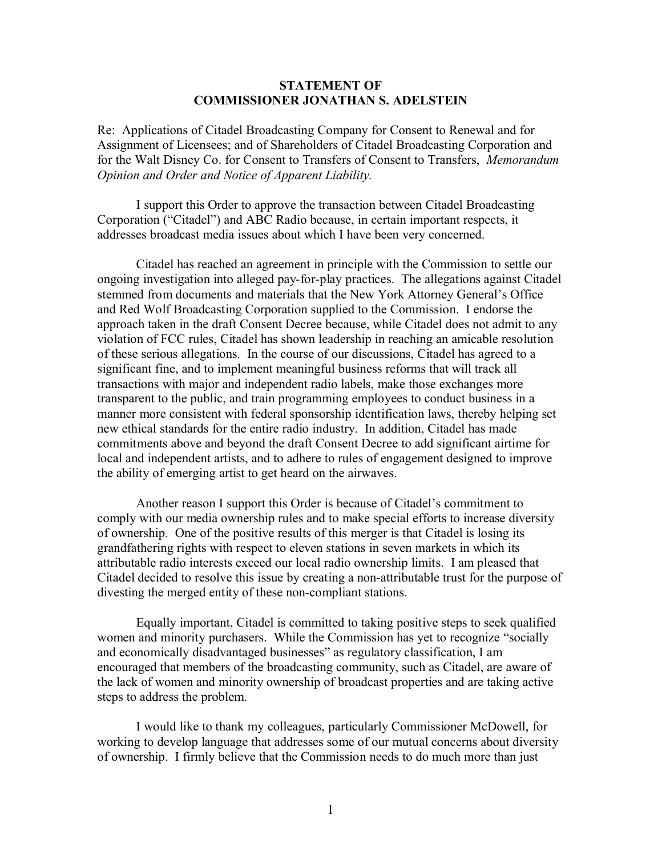## **STATEMENT OF COMMISSIONER JONATHAN S. ADELSTEIN**

Re: Applications of Citadel Broadcasting Company for Consent to Renewal and for Assignment of Licensees; and of Shareholders of Citadel Broadcasting Corporation and for the Walt Disney Co. for Consent to Transfers of Consent to Transfers, *Memorandum Opinion and Order and Notice of Apparent Liability.*

I support this Order to approve the transaction between Citadel Broadcasting Corporation ("Citadel") and ABC Radio because, in certain important respects, it addresses broadcast media issues about which I have been very concerned.

Citadel has reached an agreement in principle with the Commission to settle our ongoing investigation into alleged pay-for-play practices. The allegations against Citadel stemmed from documents and materials that the New York Attorney General's Office and Red Wolf Broadcasting Corporation supplied to the Commission. I endorse the approach taken in the draft Consent Decree because, while Citadel does not admit to any violation of FCC rules, Citadel has shown leadership in reaching an amicable resolution of these serious allegations. In the course of our discussions, Citadel has agreed to a significant fine, and to implement meaningful business reforms that will track all transactions with major and independent radio labels, make those exchanges more transparent to the public, and train programming employees to conduct business in a manner more consistent with federal sponsorship identification laws, thereby helping set new ethical standards for the entire radio industry. In addition, Citadel has made commitments above and beyond the draft Consent Decree to add significant airtime for local and independent artists, and to adhere to rules of engagement designed to improve the ability of emerging artist to get heard on the airwaves.

Another reason I support this Order is because of Citadel's commitment to comply with our media ownership rules and to make special efforts to increase diversity of ownership. One of the positive results of this merger is that Citadel is losing its grandfathering rights with respect to eleven stations in seven markets in which its attributable radio interests exceed our local radio ownership limits. I am pleased that Citadel decided to resolve this issue by creating a non-attributable trust for the purpose of divesting the merged entity of these non-compliant stations.

Equally important, Citadel is committed to taking positive steps to seek qualified women and minority purchasers. While the Commission has yet to recognize "socially and economically disadvantaged businesses" as regulatory classification, I am encouraged that members of the broadcasting community, such as Citadel, are aware of the lack of women and minority ownership of broadcast properties and are taking active steps to address the problem.

I would like to thank my colleagues, particularly Commissioner McDowell, for working to develop language that addresses some of our mutual concerns about diversity of ownership. I firmly believe that the Commission needs to do much more than just